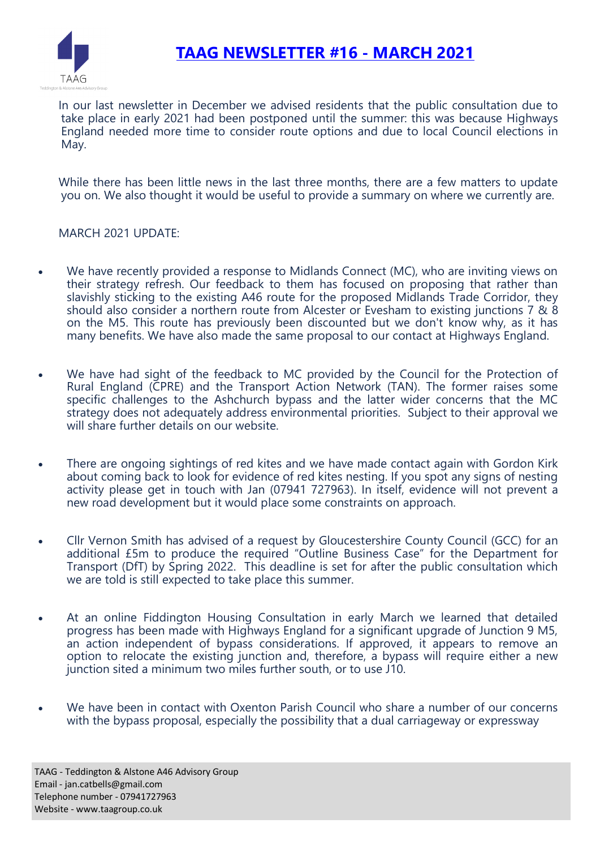

# **TAAG NEWSLETTER #16 - MARCH 2021**

In our last newsletter in December we advised residents that the public consultation due to take place in early 2021 had been postponed until the summer: this was because Highways England needed more time to consider route options and due to local Council elections in May.

While there has been little news in the last three months, there are a few matters to update you on. We also thought it would be useful to provide a summary on where we currently are.

MARCH 2021 UPDATE:

- We have recently provided a response to Midlands Connect (MC), who are inviting views on their strategy refresh. Our feedback to them has focused on proposing that rather than slavishly sticking to the existing A46 route for the proposed Midlands Trade Corridor, they should also consider a northern route from Alcester or Evesham to existing junctions 7 & 8 on the M5. This route has previously been discounted but we don't know why, as it has many benefits. We have also made the same proposal to our contact at Highways England.
- We have had sight of the feedback to MC provided by the Council for the Protection of Rural England (CPRE) and the Transport Action Network (TAN). The former raises some specific challenges to the Ashchurch bypass and the latter wider concerns that the MC strategy does not adequately address environmental priorities. Subject to their approval we will share further details on our website.
- There are ongoing sightings of red kites and we have made contact again with Gordon Kirk about coming back to look for evidence of red kites nesting. If you spot any signs of nesting activity please get in touch with Jan (07941 727963). In itself, evidence will not prevent a new road development but it would place some constraints on approach.
- Cllr Vernon Smith has advised of a request by Gloucestershire County Council (GCC) for an additional £5m to produce the required "Outline Business Case" for the Department for Transport (DfT) by Spring 2022. This deadline is set for after the public consultation which we are told is still expected to take place this summer.
- At an online Fiddington Housing Consultation in early March we learned that detailed progress has been made with Highways England for a significant upgrade of Junction 9 M5, an action independent of bypass considerations. If approved, it appears to remove an option to relocate the existing junction and, therefore, a bypass will require either a new junction sited a minimum two miles further south, or to use J10.
- We have been in contact with Oxenton Parish Council who share a number of our concerns with the bypass proposal, especially the possibility that a dual carriageway or expressway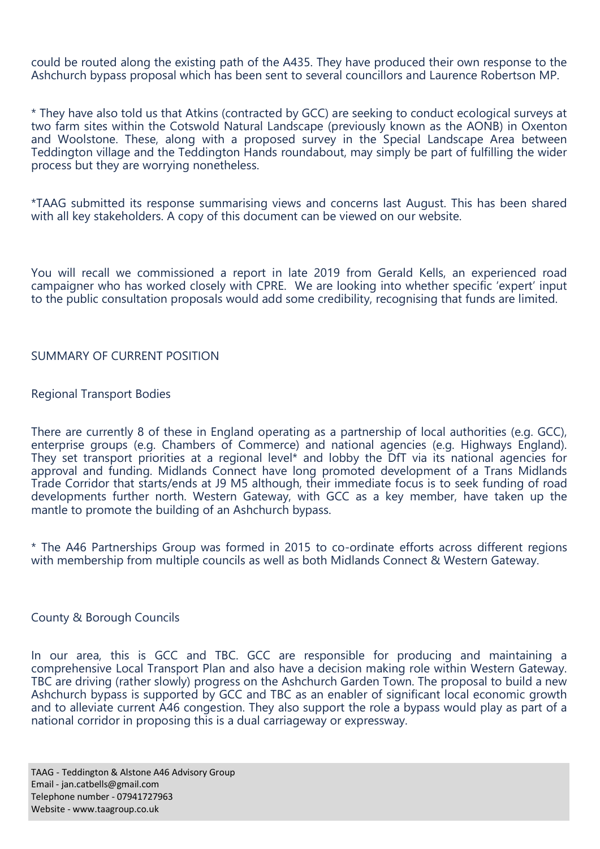could be routed along the existing path of the A435. They have produced their own response to the Ashchurch bypass proposal which has been sent to several councillors and Laurence Robertson MP.

\* They have also told us that Atkins (contracted by GCC) are seeking to conduct ecological surveys at two farm sites within the Cotswold Natural Landscape (previously known as the AONB) in Oxenton and Woolstone. These, along with a proposed survey in the Special Landscape Area between Teddington village and the Teddington Hands roundabout, may simply be part of fulfilling the wider process but they are worrying nonetheless.

\*TAAG submitted its response summarising views and concerns last August. This has been shared with all key stakeholders. A copy of this document can be viewed on our website.

You will recall we commissioned a report in late 2019 from Gerald Kells, an experienced road campaigner who has worked closely with CPRE. We are looking into whether specific 'expert' input to the public consultation proposals would add some credibility, recognising that funds are limited.

#### SUMMARY OF CURRENT POSITION

#### Regional Transport Bodies

There are currently 8 of these in England operating as a partnership of local authorities (e.g. GCC), enterprise groups (e.g. Chambers of Commerce) and national agencies (e.g. Highways England). They set transport priorities at a regional level\* and lobby the DfT via its national agencies for approval and funding. Midlands Connect have long promoted development of a Trans Midlands Trade Corridor that starts/ends at J9 M5 although, their immediate focus is to seek funding of road developments further north. Western Gateway, with GCC as a key member, have taken up the mantle to promote the building of an Ashchurch bypass.

\* The A46 Partnerships Group was formed in 2015 to co-ordinate efforts across different regions with membership from multiple councils as well as both Midlands Connect & Western Gateway.

#### County & Borough Councils

In our area, this is GCC and TBC. GCC are responsible for producing and maintaining a comprehensive Local Transport Plan and also have a decision making role within Western Gateway. TBC are driving (rather slowly) progress on the Ashchurch Garden Town. The proposal to build a new Ashchurch bypass is supported by GCC and TBC as an enabler of significant local economic growth and to alleviate current A46 congestion. They also support the role a bypass would play as part of a national corridor in proposing this is a dual carriageway or expressway.

TAAG - Teddington & Alstone A46 Advisory Group Email - jan.catbells@gmail.com Telephone number - 07941727963 Website - www.taagroup.co.uk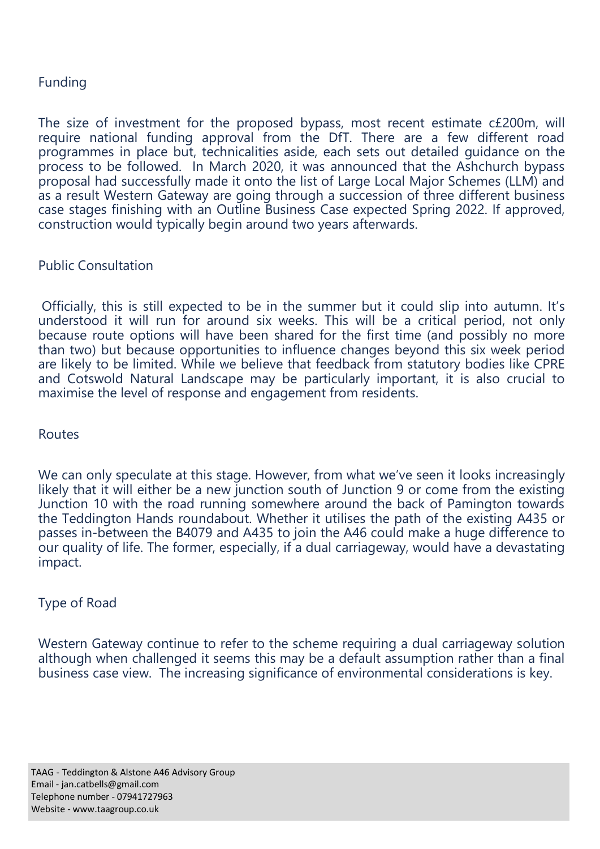## Funding

The size of investment for the proposed bypass, most recent estimate c£200m, will require national funding approval from the DfT. There are a few different road programmes in place but, technicalities aside, each sets out detailed guidance on the process to be followed. In March 2020, it was announced that the Ashchurch bypass proposal had successfully made it onto the list of Large Local Major Schemes (LLM) and as a result Western Gateway are going through a succession of three different business case stages finishing with an Outline Business Case expected Spring 2022. If approved, construction would typically begin around two years afterwards.

## Public Consultation

Officially, this is still expected to be in the summer but it could slip into autumn. It's understood it will run for around six weeks. This will be a critical period, not only because route options will have been shared for the first time (and possibly no more than two) but because opportunities to influence changes beyond this six week period are likely to be limited. While we believe that feedback from statutory bodies like CPRE and Cotswold Natural Landscape may be particularly important, it is also crucial to maximise the level of response and engagement from residents.

### Routes

We can only speculate at this stage. However, from what we've seen it looks increasingly likely that it will either be a new junction south of Junction 9 or come from the existing Junction 10 with the road running somewhere around the back of Pamington towards the Teddington Hands roundabout. Whether it utilises the path of the existing A435 or passes in-between the B4079 and A435 to join the A46 could make a huge difference to our quality of life. The former, especially, if a dual carriageway, would have a devastating impact.

## Type of Road

Western Gateway continue to refer to the scheme requiring a dual carriageway solution although when challenged it seems this may be a default assumption rather than a final business case view. The increasing significance of environmental considerations is key.